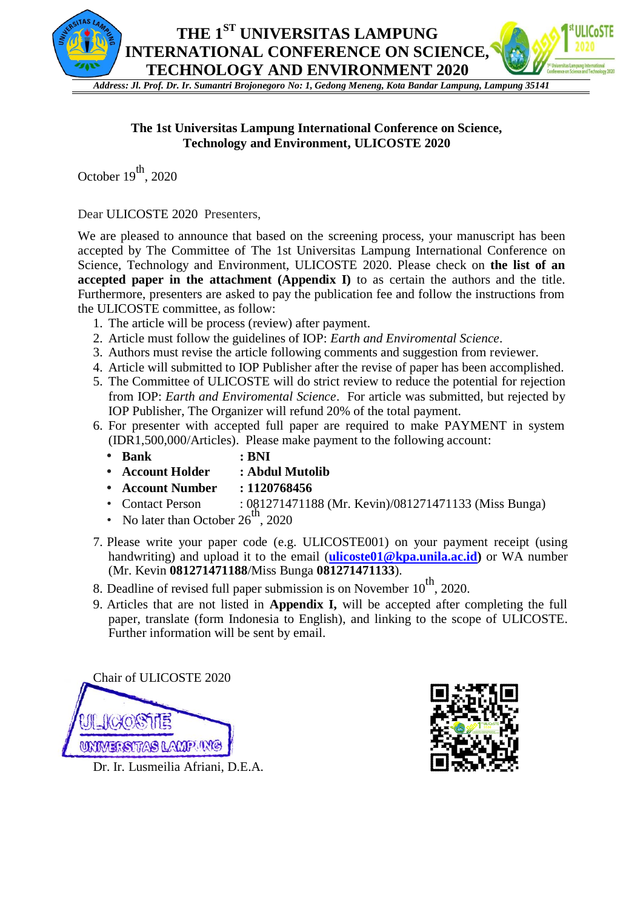

## **The 1st Universitas Lampung International Conference on Science, Technology and Environment, ULICOSTE 2020**

October  $19^{th}$ , 2020

Dear ULICOSTE 2020 Presenters,

We are pleased to announce that based on the screening process, your manuscript has been accepted by The Committee of The 1st Universitas Lampung International Conference on Science, Technology and Environment, ULICOSTE 2020. Please check on **the list of an accepted paper in the attachment (Appendix I)** to as certain the authors and the title. Furthermore, presenters are asked to pay the publication fee and follow the instructions from the ULICOSTE committee, as follow:

- 1. The article will be process (review) after payment.
- 2. Article must follow the guidelines of IOP: *Earth and Enviromental Science*.
- 3. Authors must revise the article following comments and suggestion from reviewer.
- 4. Article will submitted to IOP Publisher after the revise of paper has been accomplished.
- 5. The Committee of ULICOSTE will do strict review to reduce the potential for rejection from IOP: *Earth and Enviromental Science*. For article was submitted, but rejected by IOP Publisher, The Organizer will refund 20% of the total payment.
- 6. For presenter with accepted full paper are required to make PAYMENT in system (IDR1,500,000/Articles). Please make payment to the following account:
	- **• Bank : BNI**
	- **• Account Holder : Abdul Mutolib**
	- **• Account Number : 1120768456**
	- Contact Person :  $081271471188$  (Mr. Kevin)/081271471133 (Miss Bunga)
	- No later than October  $26^{th}$ , 2020
- 7. Please write your paper code (e.g. ULICOSTE001) on your payment receipt (using handwriting) and upload it to the email (**ulicoste01@kpa.unila.ac.id)** or WA number (Mr. Kevin **081271471188**/Miss Bunga **081271471133**).
- 8. Deadline of revised full paper submission is on November  $10^{th}$ , 2020.
- 9. Articles that are not listed in **Appendix I,** will be accepted after completing the full paper, translate (form Indonesia to English), and linking to the scope of ULICOSTE. Further information will be sent by email.

Chair of ULICOSTE 2020 UNIMERSITAS LAMPUNG

Dr. Ir. Lusmeilia Afriani, D.E.A.

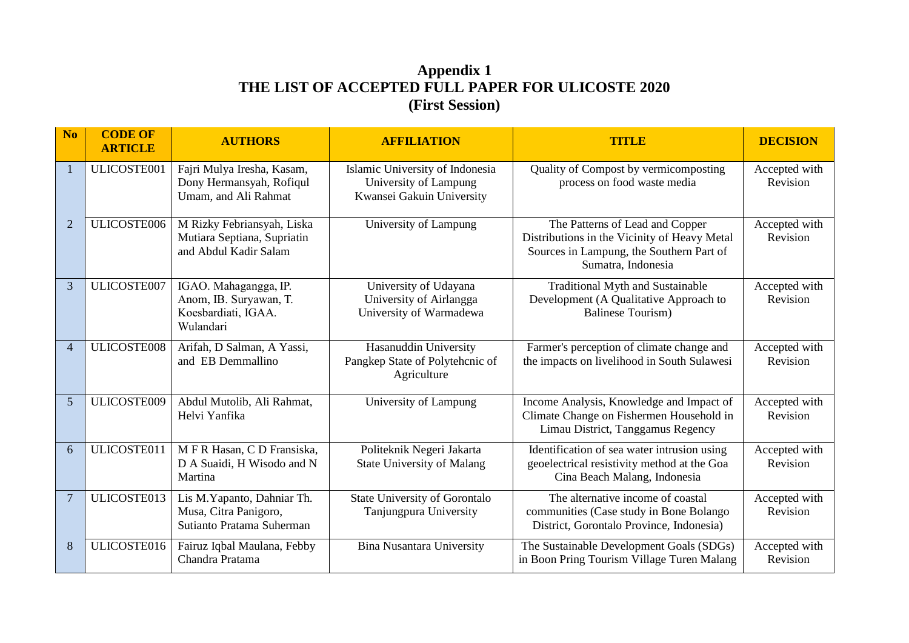## **Appendix 1 THE LIST OF ACCEPTED FULL PAPER FOR ULICOSTE 2020 (First Session)**

| N <sub>o</sub> | <b>CODE OF</b><br><b>ARTICLE</b> | <b>AUTHORS</b>                                                                      | <b>AFFILIATION</b>                                                                    | <b>TITLE</b>                                                                                                                                      | <b>DECISION</b>           |
|----------------|----------------------------------|-------------------------------------------------------------------------------------|---------------------------------------------------------------------------------------|---------------------------------------------------------------------------------------------------------------------------------------------------|---------------------------|
|                | ULICOSTE001                      | Fajri Mulya Iresha, Kasam,<br>Dony Hermansyah, Rofiqul<br>Umam, and Ali Rahmat      | Islamic University of Indonesia<br>University of Lampung<br>Kwansei Gakuin University | Quality of Compost by vermicomposting<br>process on food waste media                                                                              | Accepted with<br>Revision |
| $\overline{2}$ | ULICOSTE006                      | M Rizky Febriansyah, Liska<br>Mutiara Septiana, Supriatin<br>and Abdul Kadir Salam  | University of Lampung                                                                 | The Patterns of Lead and Copper<br>Distributions in the Vicinity of Heavy Metal<br>Sources in Lampung, the Southern Part of<br>Sumatra, Indonesia | Accepted with<br>Revision |
| 3              | ULICOSTE007                      | IGAO. Mahagangga, IP.<br>Anom, IB. Suryawan, T.<br>Koesbardiati, IGAA.<br>Wulandari | University of Udayana<br>University of Airlangga<br>University of Warmadewa           | Traditional Myth and Sustainable<br>Development (A Qualitative Approach to<br><b>Balinese Tourism)</b>                                            | Accepted with<br>Revision |
| $\overline{4}$ | ULICOSTE008                      | Arifah, D Salman, A Yassi,<br>and EB Demmallino                                     | Hasanuddin University<br>Pangkep State of Polytehenic of<br>Agriculture               | Farmer's perception of climate change and<br>the impacts on livelihood in South Sulawesi                                                          | Accepted with<br>Revision |
| 5              | ULICOSTE009                      | Abdul Mutolib, Ali Rahmat,<br>Helvi Yanfika                                         | University of Lampung                                                                 | Income Analysis, Knowledge and Impact of<br>Climate Change on Fishermen Household in<br>Limau District, Tanggamus Regency                         | Accepted with<br>Revision |
| 6              | ULICOSTE011                      | MFR Hasan, CD Fransiska,<br>D A Suaidi, H Wisodo and N<br>Martina                   | Politeknik Negeri Jakarta<br><b>State University of Malang</b>                        | Identification of sea water intrusion using<br>geoelectrical resistivity method at the Goa<br>Cina Beach Malang, Indonesia                        | Accepted with<br>Revision |
|                | ULICOSTE013                      | Lis M.Yapanto, Dahniar Th.<br>Musa, Citra Panigoro,<br>Sutianto Pratama Suherman    | State University of Gorontalo<br>Tanjungpura University                               | The alternative income of coastal<br>communities (Case study in Bone Bolango<br>District, Gorontalo Province, Indonesia)                          | Accepted with<br>Revision |
| 8              | ULICOSTE016                      | Fairuz Iqbal Maulana, Febby<br>Chandra Pratama                                      | <b>Bina Nusantara University</b>                                                      | The Sustainable Development Goals (SDGs)<br>in Boon Pring Tourism Village Turen Malang                                                            | Accepted with<br>Revision |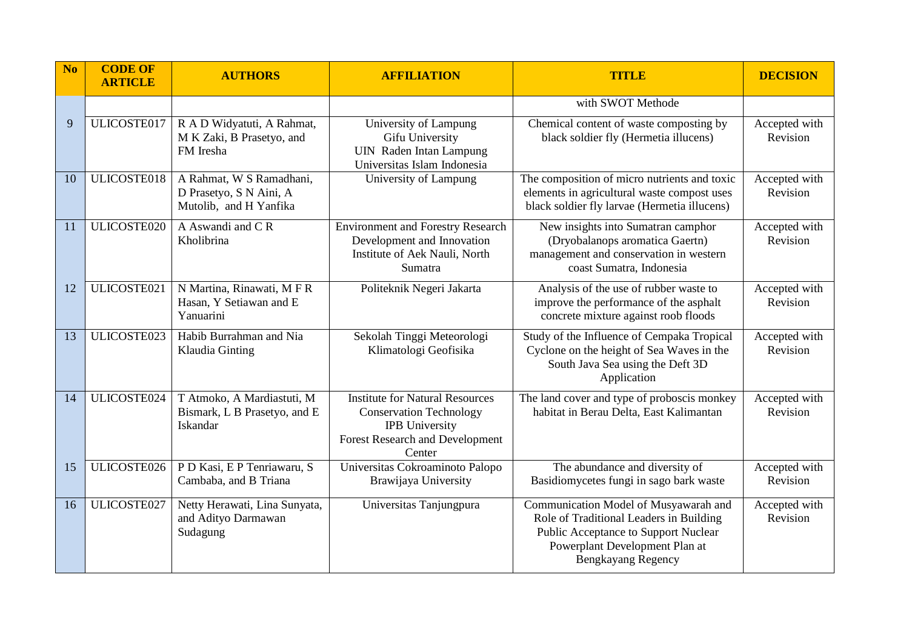| N <sub>o</sub> | <b>CODE OF</b><br><b>ARTICLE</b> | <b>AUTHORS</b>                                                                | <b>AFFILIATION</b>                                                                                                                                    | <b>TITLE</b>                                                                                                                                                                     | <b>DECISION</b>           |
|----------------|----------------------------------|-------------------------------------------------------------------------------|-------------------------------------------------------------------------------------------------------------------------------------------------------|----------------------------------------------------------------------------------------------------------------------------------------------------------------------------------|---------------------------|
|                |                                  |                                                                               |                                                                                                                                                       | with SWOT Methode                                                                                                                                                                |                           |
| 9              | ULICOSTE017                      | R A D Widyatuti, A Rahmat,<br>M K Zaki, B Prasetyo, and<br>FM Iresha          | University of Lampung<br>Gifu University<br><b>UIN</b> Raden Intan Lampung<br>Universitas Islam Indonesia                                             | Chemical content of waste composting by<br>black soldier fly (Hermetia illucens)                                                                                                 | Accepted with<br>Revision |
| 10             | ULICOSTE018                      | A Rahmat, W S Ramadhani,<br>D Prasetyo, S N Aini, A<br>Mutolib, and H Yanfika | University of Lampung                                                                                                                                 | The composition of micro nutrients and toxic<br>elements in agricultural waste compost uses<br>black soldier fly larvae (Hermetia illucens)                                      | Accepted with<br>Revision |
| 11             | ULICOSTE020                      | A Aswandi and C R<br>Kholibrina                                               | <b>Environment and Forestry Research</b><br>Development and Innovation<br>Institute of Aek Nauli, North<br>Sumatra                                    | New insights into Sumatran camphor<br>(Dryobalanops aromatica Gaertn)<br>management and conservation in western<br>coast Sumatra, Indonesia                                      | Accepted with<br>Revision |
| 12             | ULICOSTE021                      | N Martina, Rinawati, MFR<br>Hasan, Y Setiawan and E<br>Yanuarini              | Politeknik Negeri Jakarta                                                                                                                             | Analysis of the use of rubber waste to<br>improve the performance of the asphalt<br>concrete mixture against roob floods                                                         | Accepted with<br>Revision |
| 13             | ULICOSTE023                      | Habib Burrahman and Nia<br>Klaudia Ginting                                    | Sekolah Tinggi Meteorologi<br>Klimatologi Geofisika                                                                                                   | Study of the Influence of Cempaka Tropical<br>Cyclone on the height of Sea Waves in the<br>South Java Sea using the Deft 3D<br>Application                                       | Accepted with<br>Revision |
| 14             | ULICOSTE024                      | T Atmoko, A Mardiastuti, M<br>Bismark, L B Prasetyo, and E<br>Iskandar        | <b>Institute for Natural Resources</b><br><b>Conservation Technology</b><br><b>IPB</b> University<br><b>Forest Research and Development</b><br>Center | The land cover and type of proboscis monkey<br>habitat in Berau Delta, East Kalimantan                                                                                           | Accepted with<br>Revision |
| 15             | ULICOSTE026                      | P D Kasi, E P Tenriawaru, S<br>Cambaba, and B Triana                          | Universitas Cokroaminoto Palopo<br>Brawijaya University                                                                                               | The abundance and diversity of<br>Basidiomycetes fungi in sago bark waste                                                                                                        | Accepted with<br>Revision |
| 16             | ULICOSTE027                      | Netty Herawati, Lina Sunyata,<br>and Adityo Darmawan<br>Sudagung              | Universitas Tanjungpura                                                                                                                               | Communication Model of Musyawarah and<br>Role of Traditional Leaders in Building<br>Public Acceptance to Support Nuclear<br>Powerplant Development Plan at<br>Bengkayang Regency | Accepted with<br>Revision |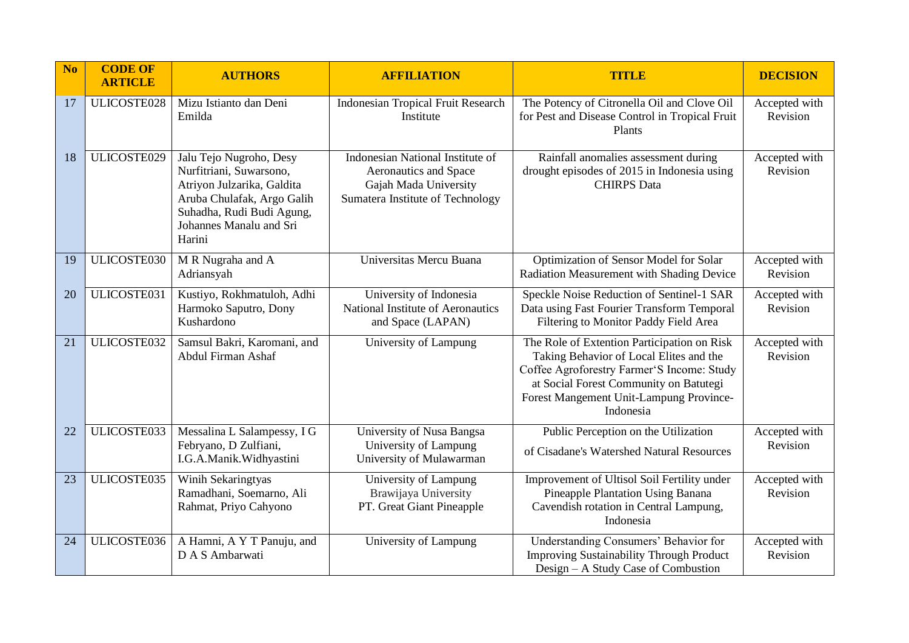| N <sub>o</sub> | <b>CODE OF</b><br><b>ARTICLE</b> | <b>AUTHORS</b>                                                                                                                                                                   | <b>AFFILIATION</b>                                                                                                     | <b>TITLE</b>                                                                                                                                                                                                                           | <b>DECISION</b>           |
|----------------|----------------------------------|----------------------------------------------------------------------------------------------------------------------------------------------------------------------------------|------------------------------------------------------------------------------------------------------------------------|----------------------------------------------------------------------------------------------------------------------------------------------------------------------------------------------------------------------------------------|---------------------------|
| 17             | ULICOSTE028                      | Mizu Istianto dan Deni<br>Emilda                                                                                                                                                 | <b>Indonesian Tropical Fruit Research</b><br>Institute                                                                 | The Potency of Citronella Oil and Clove Oil<br>for Pest and Disease Control in Tropical Fruit<br>Plants                                                                                                                                | Accepted with<br>Revision |
| 18             | ULICOSTE029                      | Jalu Tejo Nugroho, Desy<br>Nurfitriani, Suwarsono,<br>Atriyon Julzarika, Galdita<br>Aruba Chulafak, Argo Galih<br>Suhadha, Rudi Budi Agung,<br>Johannes Manalu and Sri<br>Harini | Indonesian National Institute of<br>Aeronautics and Space<br>Gajah Mada University<br>Sumatera Institute of Technology | Rainfall anomalies assessment during<br>drought episodes of 2015 in Indonesia using<br><b>CHIRPS</b> Data                                                                                                                              | Accepted with<br>Revision |
| 19             | ULICOSTE030                      | M R Nugraha and A<br>Adriansyah                                                                                                                                                  | Universitas Mercu Buana                                                                                                | Optimization of Sensor Model for Solar<br>Radiation Measurement with Shading Device                                                                                                                                                    | Accepted with<br>Revision |
| 20             | ULICOSTE031                      | Kustiyo, Rokhmatuloh, Adhi<br>Harmoko Saputro, Dony<br>Kushardono                                                                                                                | University of Indonesia<br>National Institute of Aeronautics<br>and Space (LAPAN)                                      | Speckle Noise Reduction of Sentinel-1 SAR<br>Data using Fast Fourier Transform Temporal<br>Filtering to Monitor Paddy Field Area                                                                                                       | Accepted with<br>Revision |
| 21             | ULICOSTE032                      | Samsul Bakri, Karomani, and<br>Abdul Firman Ashaf                                                                                                                                | University of Lampung                                                                                                  | The Role of Extention Participation on Risk<br>Taking Behavior of Local Elites and the<br>Coffee Agroforestry Farmer'S Income: Study<br>at Social Forest Community on Batutegi<br>Forest Mangement Unit-Lampung Province-<br>Indonesia | Accepted with<br>Revision |
| 22             | ULICOSTE033                      | Messalina L Salampessy, I G<br>Febryano, D Zulfiani,<br>I.G.A.Manik.Widhyastini                                                                                                  | University of Nusa Bangsa<br>University of Lampung<br>University of Mulawarman                                         | Public Perception on the Utilization<br>of Cisadane's Watershed Natural Resources                                                                                                                                                      | Accepted with<br>Revision |
| 23             | ULICOSTE035                      | Winih Sekaringtyas<br>Ramadhani, Soemarno, Ali<br>Rahmat, Priyo Cahyono                                                                                                          | University of Lampung<br>Brawijaya University<br>PT. Great Giant Pineapple                                             | Improvement of Ultisol Soil Fertility under<br>Pineapple Plantation Using Banana<br>Cavendish rotation in Central Lampung,<br>Indonesia                                                                                                | Accepted with<br>Revision |
| 24             | ULICOSTE036                      | A Hamni, A Y T Panuju, and<br>D A S Ambarwati                                                                                                                                    | University of Lampung                                                                                                  | Understanding Consumers' Behavior for<br><b>Improving Sustainability Through Product</b><br>Design – A Study Case of Combustion                                                                                                        | Accepted with<br>Revision |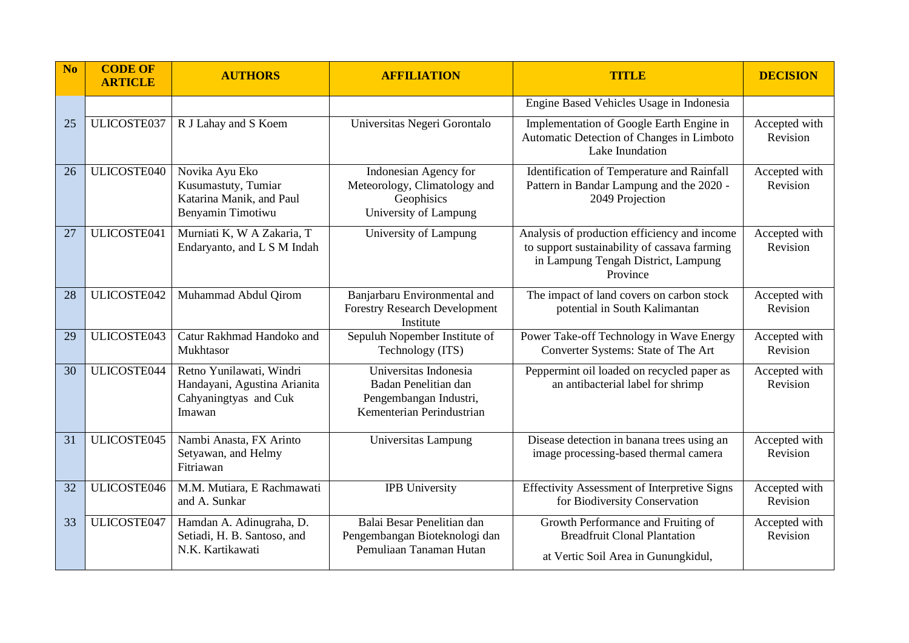| N <sub>o</sub> | <b>CODE OF</b><br><b>ARTICLE</b> | <b>AUTHORS</b>                                                                              | <b>AFFILIATION</b>                                                                                   | <b>TITLE</b>                                                                                                                                    | <b>DECISION</b>           |
|----------------|----------------------------------|---------------------------------------------------------------------------------------------|------------------------------------------------------------------------------------------------------|-------------------------------------------------------------------------------------------------------------------------------------------------|---------------------------|
|                |                                  |                                                                                             |                                                                                                      | Engine Based Vehicles Usage in Indonesia                                                                                                        |                           |
| 25             | ULICOSTE037                      | R J Lahay and S Koem                                                                        | Universitas Negeri Gorontalo                                                                         | Implementation of Google Earth Engine in<br>Automatic Detection of Changes in Limboto<br>Lake Inundation                                        | Accepted with<br>Revision |
| 26             | ULICOSTE040                      | Novika Ayu Eko<br>Kusumastuty, Tumiar<br>Katarina Manik, and Paul<br>Benyamin Timotiwu      | Indonesian Agency for<br>Meteorology, Climatology and<br>Geophisics<br>University of Lampung         | Identification of Temperature and Rainfall<br>Pattern in Bandar Lampung and the 2020 -<br>2049 Projection                                       | Accepted with<br>Revision |
| 27             | ULICOSTE041                      | Murniati K, W A Zakaria, T<br>Endaryanto, and L S M Indah                                   | University of Lampung                                                                                | Analysis of production efficiency and income<br>to support sustainability of cassava farming<br>in Lampung Tengah District, Lampung<br>Province | Accepted with<br>Revision |
| 28             | ULICOSTE042                      | Muhammad Abdul Qirom                                                                        | Banjarbaru Environmental and<br><b>Forestry Research Development</b><br>Institute                    | The impact of land covers on carbon stock<br>potential in South Kalimantan                                                                      | Accepted with<br>Revision |
| 29             | ULICOSTE043                      | Catur Rakhmad Handoko and<br>Mukhtasor                                                      | Sepuluh Nopember Institute of<br>Technology (ITS)                                                    | Power Take-off Technology in Wave Energy<br>Converter Systems: State of The Art                                                                 | Accepted with<br>Revision |
| 30             | ULICOSTE044                      | Retno Yunilawati, Windri<br>Handayani, Agustina Arianita<br>Cahyaningtyas and Cuk<br>Imawan | Universitas Indonesia<br>Badan Penelitian dan<br>Pengembangan Industri,<br>Kementerian Perindustrian | Peppermint oil loaded on recycled paper as<br>an antibacterial label for shrimp                                                                 | Accepted with<br>Revision |
| 31             | ULICOSTE045                      | Nambi Anasta, FX Arinto<br>Setyawan, and Helmy<br>Fitriawan                                 | Universitas Lampung                                                                                  | Disease detection in banana trees using an<br>image processing-based thermal camera                                                             | Accepted with<br>Revision |
| 32             | ULICOSTE046                      | M.M. Mutiara, E Rachmawati<br>and A. Sunkar                                                 | <b>IPB</b> University                                                                                | <b>Effectivity Assessment of Interpretive Signs</b><br>for Biodiversity Conservation                                                            | Accepted with<br>Revision |
| 33             | ULICOSTE047                      | Hamdan A. Adinugraha, D.<br>Setiadi, H. B. Santoso, and<br>N.K. Kartikawati                 | Balai Besar Penelitian dan<br>Pengembangan Bioteknologi dan<br>Pemuliaan Tanaman Hutan               | Growth Performance and Fruiting of<br><b>Breadfruit Clonal Plantation</b><br>at Vertic Soil Area in Gunungkidul,                                | Accepted with<br>Revision |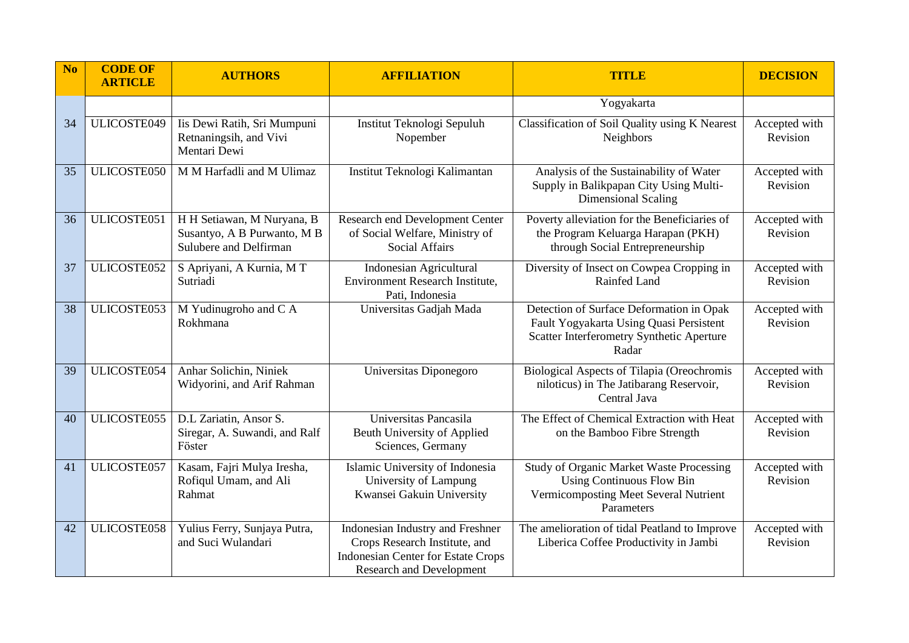| N <sub>o</sub> | <b>CODE OF</b><br><b>ARTICLE</b> | <b>AUTHORS</b>                                                                      | <b>AFFILIATION</b>                                                                                                                                | <b>TITLE</b>                                                                                                                               | <b>DECISION</b>           |
|----------------|----------------------------------|-------------------------------------------------------------------------------------|---------------------------------------------------------------------------------------------------------------------------------------------------|--------------------------------------------------------------------------------------------------------------------------------------------|---------------------------|
|                |                                  |                                                                                     |                                                                                                                                                   | Yogyakarta                                                                                                                                 |                           |
| 34             | ULICOSTE049                      | Iis Dewi Ratih, Sri Mumpuni<br>Retnaningsih, and Vivi<br>Mentari Dewi               | Institut Teknologi Sepuluh<br>Nopember                                                                                                            | Classification of Soil Quality using K Nearest<br>Neighbors                                                                                | Accepted with<br>Revision |
| 35             | ULICOSTE050                      | M M Harfadli and M Ulimaz                                                           | Institut Teknologi Kalimantan                                                                                                                     | Analysis of the Sustainability of Water<br>Supply in Balikpapan City Using Multi-<br><b>Dimensional Scaling</b>                            | Accepted with<br>Revision |
| 36             | ULICOSTE051                      | H H Setiawan, M Nuryana, B<br>Susantyo, A B Purwanto, M B<br>Sulubere and Delfirman | Research end Development Center<br>of Social Welfare, Ministry of<br><b>Social Affairs</b>                                                        | Poverty alleviation for the Beneficiaries of<br>the Program Keluarga Harapan (PKH)<br>through Social Entrepreneurship                      | Accepted with<br>Revision |
| 37             | ULICOSTE052                      | S Apriyani, A Kurnia, M T<br>Sutriadi                                               | <b>Indonesian Agricultural</b><br><b>Environment Research Institute,</b><br>Pati, Indonesia                                                       | Diversity of Insect on Cowpea Cropping in<br>Rainfed Land                                                                                  | Accepted with<br>Revision |
| 38             | ULICOSTE053                      | M Yudinugroho and C A<br>Rokhmana                                                   | Universitas Gadjah Mada                                                                                                                           | Detection of Surface Deformation in Opak<br>Fault Yogyakarta Using Quasi Persistent<br>Scatter Interferometry Synthetic Aperture<br>Radar  | Accepted with<br>Revision |
| 39             | ULICOSTE054                      | Anhar Solichin, Niniek<br>Widyorini, and Arif Rahman                                | Universitas Diponegoro                                                                                                                            | Biological Aspects of Tilapia (Oreochromis<br>niloticus) in The Jatibarang Reservoir,<br>Central Java                                      | Accepted with<br>Revision |
| 40             | ULICOSTE055                      | D.L Zariatin, Ansor S.<br>Siregar, A. Suwandi, and Ralf<br>Föster                   | Universitas Pancasila<br>Beuth University of Applied<br>Sciences, Germany                                                                         | The Effect of Chemical Extraction with Heat<br>on the Bamboo Fibre Strength                                                                | Accepted with<br>Revision |
| 41             | ULICOSTE057                      | Kasam, Fajri Mulya Iresha,<br>Rofiqul Umam, and Ali<br>Rahmat                       | Islamic University of Indonesia<br>University of Lampung<br>Kwansei Gakuin University                                                             | <b>Study of Organic Market Waste Processing</b><br><b>Using Continuous Flow Bin</b><br>Vermicomposting Meet Several Nutrient<br>Parameters | Accepted with<br>Revision |
| 42             | ULICOSTE058                      | Yulius Ferry, Sunjaya Putra,<br>and Suci Wulandari                                  | Indonesian Industry and Freshner<br>Crops Research Institute, and<br><b>Indonesian Center for Estate Crops</b><br><b>Research and Development</b> | The amelioration of tidal Peatland to Improve<br>Liberica Coffee Productivity in Jambi                                                     | Accepted with<br>Revision |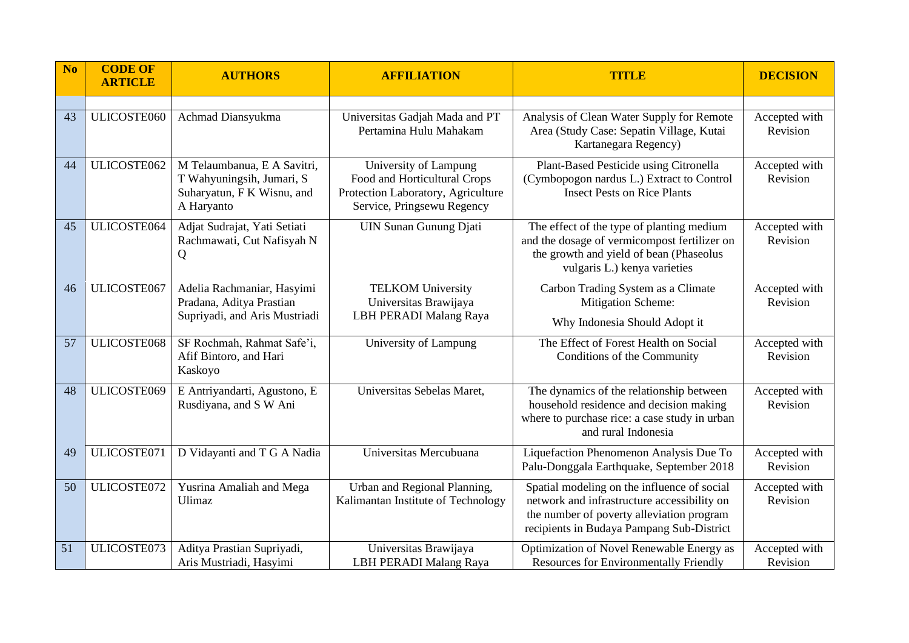| N <sub>o</sub> | <b>CODE OF</b><br><b>ARTICLE</b> | <b>AUTHORS</b>                                                                                       | <b>AFFILIATION</b>                                                                                                        | <b>TITLE</b>                                                                                                                                                                         | <b>DECISION</b>           |
|----------------|----------------------------------|------------------------------------------------------------------------------------------------------|---------------------------------------------------------------------------------------------------------------------------|--------------------------------------------------------------------------------------------------------------------------------------------------------------------------------------|---------------------------|
| 43             | ULICOSTE060                      | Achmad Diansyukma                                                                                    | Universitas Gadjah Mada and PT<br>Pertamina Hulu Mahakam                                                                  | Analysis of Clean Water Supply for Remote<br>Area (Study Case: Sepatin Village, Kutai<br>Kartanegara Regency)                                                                        | Accepted with<br>Revision |
| 44             | ULICOSTE062                      | M Telaumbanua, E A Savitri,<br>T Wahyuningsih, Jumari, S<br>Suharyatun, F K Wisnu, and<br>A Haryanto | University of Lampung<br>Food and Horticultural Crops<br>Protection Laboratory, Agriculture<br>Service, Pringsewu Regency | Plant-Based Pesticide using Citronella<br>(Cymbopogon nardus L.) Extract to Control<br><b>Insect Pests on Rice Plants</b>                                                            | Accepted with<br>Revision |
| 45             | ULICOSTE064                      | Adjat Sudrajat, Yati Setiati<br>Rachmawati, Cut Nafisyah N<br>Q                                      | <b>UIN Sunan Gunung Djati</b>                                                                                             | The effect of the type of planting medium<br>and the dosage of vermicompost fertilizer on<br>the growth and yield of bean (Phaseolus<br>vulgaris L.) kenya varieties                 | Accepted with<br>Revision |
| 46             | ULICOSTE067                      | Adelia Rachmaniar, Hasyimi<br>Pradana, Aditya Prastian<br>Supriyadi, and Aris Mustriadi              | <b>TELKOM University</b><br>Universitas Brawijaya<br><b>LBH PERADI Malang Raya</b>                                        | Carbon Trading System as a Climate<br>Mitigation Scheme:<br>Why Indonesia Should Adopt it                                                                                            | Accepted with<br>Revision |
| 57             | ULICOSTE068                      | SF Rochmah, Rahmat Safe'i,<br>Afif Bintoro, and Hari<br>Kaskoyo                                      | University of Lampung                                                                                                     | The Effect of Forest Health on Social<br>Conditions of the Community                                                                                                                 | Accepted with<br>Revision |
| 48             | ULICOSTE069                      | E Antriyandarti, Agustono, E<br>Rusdiyana, and S W Ani                                               | Universitas Sebelas Maret,                                                                                                | The dynamics of the relationship between<br>household residence and decision making<br>where to purchase rice: a case study in urban<br>and rural Indonesia                          | Accepted with<br>Revision |
| 49             | ULICOSTE071                      | D Vidayanti and T G A Nadia                                                                          | Universitas Mercubuana                                                                                                    | Liquefaction Phenomenon Analysis Due To<br>Palu-Donggala Earthquake, September 2018                                                                                                  | Accepted with<br>Revision |
| 50             | ULICOSTE072                      | Yusrina Amaliah and Mega<br>Ulimaz                                                                   | Urban and Regional Planning,<br>Kalimantan Institute of Technology                                                        | Spatial modeling on the influence of social<br>network and infrastructure accessibility on<br>the number of poverty alleviation program<br>recipients in Budaya Pampang Sub-District | Accepted with<br>Revision |
| 51             | ULICOSTE073                      | Aditya Prastian Supriyadi,<br>Aris Mustriadi, Hasyimi                                                | Universitas Brawijaya<br><b>LBH PERADI Malang Raya</b>                                                                    | Optimization of Novel Renewable Energy as<br><b>Resources for Environmentally Friendly</b>                                                                                           | Accepted with<br>Revision |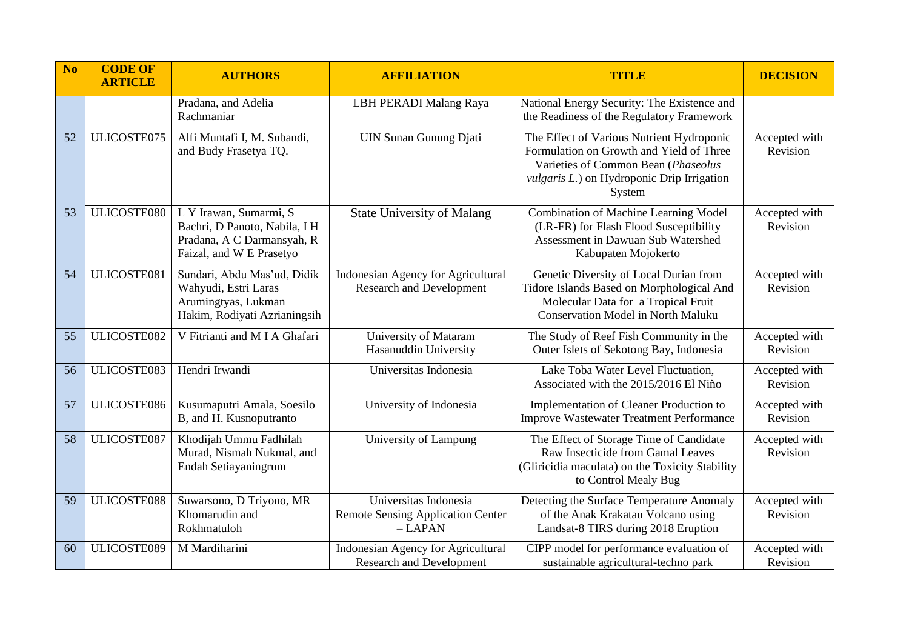| N <sub>o</sub> | <b>CODE OF</b><br><b>ARTICLE</b> | <b>AUTHORS</b>                                                                                                    | <b>AFFILIATION</b>                                                            | <b>TITLE</b>                                                                                                                                                                         | <b>DECISION</b>           |
|----------------|----------------------------------|-------------------------------------------------------------------------------------------------------------------|-------------------------------------------------------------------------------|--------------------------------------------------------------------------------------------------------------------------------------------------------------------------------------|---------------------------|
|                |                                  | Pradana, and Adelia<br>Rachmaniar                                                                                 | LBH PERADI Malang Raya                                                        | National Energy Security: The Existence and<br>the Readiness of the Regulatory Framework                                                                                             |                           |
| 52             | ULICOSTE075                      | Alfi Muntafi I, M. Subandi,<br>and Budy Frasetya TQ.                                                              | <b>UIN Sunan Gunung Djati</b>                                                 | The Effect of Various Nutrient Hydroponic<br>Formulation on Growth and Yield of Three<br>Varieties of Common Bean (Phaseolus<br>vulgaris L.) on Hydroponic Drip Irrigation<br>System | Accepted with<br>Revision |
| 53             | ULICOSTE080                      | L Y Irawan, Sumarmi, S<br>Bachri, D Panoto, Nabila, I H<br>Pradana, A C Darmansyah, R<br>Faizal, and W E Prasetyo | <b>State University of Malang</b>                                             | <b>Combination of Machine Learning Model</b><br>(LR-FR) for Flash Flood Susceptibility<br>Assessment in Dawuan Sub Watershed<br>Kabupaten Mojokerto                                  | Accepted with<br>Revision |
| 54             | ULICOSTE081                      | Sundari, Abdu Mas'ud, Didik<br>Wahyudi, Estri Laras<br>Arumingtyas, Lukman<br>Hakim, Rodiyati Azrianingsih        | Indonesian Agency for Agricultural<br><b>Research and Development</b>         | Genetic Diversity of Local Durian from<br>Tidore Islands Based on Morphological And<br>Molecular Data for a Tropical Fruit<br><b>Conservation Model in North Maluku</b>              | Accepted with<br>Revision |
| 55             | ULICOSTE082                      | V Fitrianti and M I A Ghafari                                                                                     | University of Mataram<br>Hasanuddin University                                | The Study of Reef Fish Community in the<br>Outer Islets of Sekotong Bay, Indonesia                                                                                                   | Accepted with<br>Revision |
| 56             | ULICOSTE083                      | Hendri Irwandi                                                                                                    | Universitas Indonesia                                                         | Lake Toba Water Level Fluctuation,<br>Associated with the 2015/2016 El Niño                                                                                                          | Accepted with<br>Revision |
| 57             | ULICOSTE086                      | Kusumaputri Amala, Soesilo<br>B, and H. Kusnoputranto                                                             | University of Indonesia                                                       | Implementation of Cleaner Production to<br>Improve Wastewater Treatment Performance                                                                                                  | Accepted with<br>Revision |
| 58             | ULICOSTE087                      | Khodijah Ummu Fadhilah<br>Murad, Nismah Nukmal, and<br>Endah Setiayaningrum                                       | University of Lampung                                                         | The Effect of Storage Time of Candidate<br>Raw Insecticide from Gamal Leaves<br>(Gliricidia maculata) on the Toxicity Stability<br>to Control Mealy Bug                              | Accepted with<br>Revision |
| 59             | ULICOSTE088                      | Suwarsono, D Triyono, MR<br>Khomarudin and<br>Rokhmatuloh                                                         | Universitas Indonesia<br><b>Remote Sensing Application Center</b><br>$-LAPAN$ | Detecting the Surface Temperature Anomaly<br>of the Anak Krakatau Volcano using<br>Landsat-8 TIRS during 2018 Eruption                                                               | Accepted with<br>Revision |
| 60             | ULICOSTE089                      | M Mardiharini                                                                                                     | Indonesian Agency for Agricultural<br><b>Research and Development</b>         | CIPP model for performance evaluation of<br>sustainable agricultural-techno park                                                                                                     | Accepted with<br>Revision |